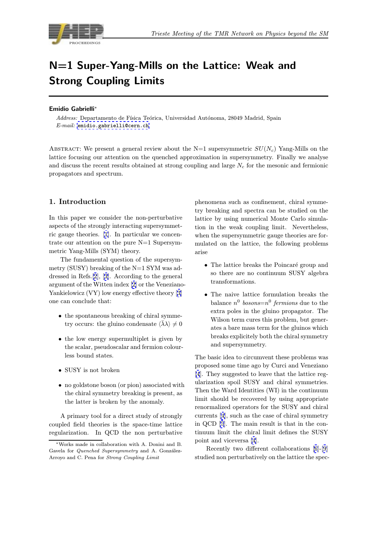

# N=1 Super-Yang-Mills on the Lattice: Weak and Strong Coupling Limits

#### Emidio Gabrielli<sup>∗</sup>

Address: Departamento de Física Teórica, Universidad Autónoma, 28049 Madrid, Spain E-mail: emidio.gabrielli@cern.ch

ABSTRACT: We present a general review about the N=1 supersymmetric  $SU(N_c)$  Yang-Mills on the lattice foc[using our attention on the](mailto:emidio.gabrielli@cern.ch) quenched approximation in supersymmetry. Finally we analyse and discuss the recent results obtained at strong coupling and large  $N_c$  for the mesonic and fermionic propagators and spectrum.

## 1. Introduction

In this paper we consider the non-perturbative aspects of the strongly interacting supersymmetric gauge theories. [1]. In particular we concentrate our attention on the pure N=1 Supersymmetric Yang-Mills (SYM) theory.

The fundamental question of the supersymmetry (SUSY) brea[kin](#page-7-0)g of the N=1 SYM was addressed in Refs.[2], [3]. According to the general argument of the Witten index [2] or the Veneziano-Yankielowicz (VY) low energy effective theory [3] one can conclud[e](#page-7-0) th[at](#page-7-0):

- the spontaneous breakin[g](#page-7-0) of chiral symmetry occurs: the gluino condensate  $\langle \overline{\lambda} \lambda \rangle \neq 0$  $\langle \overline{\lambda} \lambda \rangle \neq 0$
- the low energy supermultiplet is given by the scalar, pseudoscalar and fermion colourless bound states.
- SUSY is not broken
- no goldstone boson (or pion) associated with the chiral symmetry breaking is present, as the latter is broken by the anomaly.

A primary tool for a direct study of strongly coupled field theories is the space-time lattice regularization. In QCD the non perturbative phenomena such as confinement, chiral symmetry breaking and spectra can be studied on the lattice by using numerical Monte Carlo simulation in the weak coupling limit. Nevertheless, when the supersymmetric gauge theories are formulated on the lattice, the following problems arise

- The lattice breaks the Poincaré group and so there are no continuum SUSY algebra transformations.
- The naive lattice formulation breaks the balance  $n^0$  bosons= $n^0$  fermions due to the extra poles in the gluino propagator. The Wilson term cures this problem, but generates a bare mass term for the gluinos which breaks explicitely both the chiral symmetry and supersymmetry.

The basic idea to circumvent these problems was proposed some time ago by Curci and Veneziano [4]. They suggested to leave that the lattice regularization spoil SUSY and chiral symmetries. Then the Ward Identities (WI) in the continuum limit should be recovered by using appropriate [re](#page-7-0)normalized operators for the SUSY and chiral currents [4], such as the case of chiral symmetry in QCD [5]. The main result is that in the continuum limit the chiral limit defines the SUSY point and viceversa [4].

Rece[nt](#page-7-0)ly two different collaborations [6]-[9] studied n[on](#page-7-0) perturbatively on the lattice the spec-

<sup>∗</sup>Works made in collaboration with A. Donini and B. Gavela for Quenched Supersymmetry and A. González-Arroyo and C. Pena for Strong Coupling Limit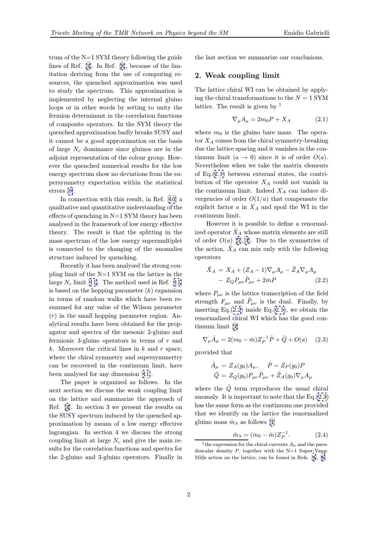<span id="page-1-0"></span>trum of the N=1 SYM theory following the guide lines of Ref. [4]. In Ref. [8], because of the limitation deriving from the use of computing resources, the quenched approximation was used to study the spectrum. This approximation is implemented [b](#page-7-0)y neglecti[ng](#page-7-0) the internal gluino loops or in other words by setting to unity the fermion determinant in the correlation functions of composite operators. In the SYM theory the quenched approximation badly breaks SUSY and it cannot be a good approximation on the basis of large  $N_c$  dominance since gluinos are in the adjoint representation of the colour group. However the quenched numerical results for the low energy spectrum show no deviations from the supersymmetry expectation within the statistical errors [8].

In connection with this result, in Ref. [10] a qualitative and quantitative understanding of the effects of quenching in  $N=1$  SYM theory has been analys[ed](#page-7-0) in the framework of low energy effective theory. The result is that the splitting i[n t](#page-7-0)he mass spectrum of the low energy supermultiplet is connected to the changing of the anomalies structure induced by quenching.

Recently it has been analysed the strong coupling limit of the N=1 SYM on the lattice in the large  $N_c$  limit [11]. The method used in Ref. [11] is based on the hopping parameter  $(k)$  expansion in terms of random walks which have been resummed for any value of the Wilson parameter (r) in the sma[ll h](#page-7-0)opping parameter region. [An](#page-7-0)alytical results have been obtained for the propagator and spectra of the mesonic 2-gluino and fermionic 3-gluino operators in terms of  $r$  and k. Moreover the critical lines in  $k$  and  $r$  space, where the chiral symmetry and supersymmertry can be recovered in the continuum limit, have been analysed for any dimension [11].

The paper is organized as follows. In the next section we discuss the weak coupling limit on the lattice and summarize the approach of Ref. [4]. In section 3 we present [th](#page-7-0)e results on the SUSY spectrum induced by the quenched approximation by means of a low energy effective lagrangian. In section 4 we discuss the strong coupli[n](#page-7-0)g limit at large  $N_c$  and give the main results for the correlation functions and spectra for the 2-gluino and 3-gluino operators. Finally in the last section we summarize our conclusions.

### 2. Weak coupling limit

The lattice chiral WI can be obtained by applying the chiral transformations to the  $N = 1$  SYM lattice. The result is given by  $<sup>1</sup>$ </sup>

$$
\nabla_{\mu}A_{\mu} = 2m_0 P + X_A \tag{2.1}
$$

where  $m_0$  is the gluino bare mass. The operator  $X_A$  comes from the chiral symmetry-breaking due the lattice spacing and it vanishes in the continuum limit  $(a \to 0)$  since it is of order  $O(a)$ . Nevertheless when we take the matrix elements of Eq.(2.1) between external states, the contribution of the operator  $X_A$  could not vanish in the continuum limit. Indeed  $X_A$  can induce divergencies of order  $O(1/a)$  that compensate the explicit factor  $a$  in  $X_A$  and spoil the WI in the continuum limit.

However it is possible to define a renormalized operator  $\ddot{X}_A$  whose matrix elements are still of order  $O(a)$  [5], [4]. Due to the symmetries of the action,  $\ddot{X}_A$  can mix only with the following operators

$$
\hat{X}_A = X_A + (Z_A - 1)\nabla_\mu A_\mu - \tilde{Z}_A \nabla_\mu A_\mu - Z_Q P_{\mu\nu} \tilde{P}_{\mu\nu} + 2\bar{m}P
$$
\n(2.2)

where  $P_{\mu\nu}$  is the lattice transcription of the field strength  $F_{\mu\nu}$  and  $\tilde{P}_{\mu\nu}$  is the dual. Finally, by inserting Eq. $(2.2)$  inside Eq. $(2.1)$ , we obtain the renormalized chiral WI which has the good continuum limit [4]

$$
\nabla_{\mu}\hat{A}_{\mu} = 2(m_0 - \bar{m})Z_P^{-1}\hat{P} + \hat{Q} + O(a) \quad (2.3)
$$

provided that

$$
\hat{A}_{\mu} = Z_A(g_0)A_{\mu}, \quad \hat{P} = Z_P(g_0)P
$$
  

$$
\hat{Q} = Z_Q(g_0)P_{\mu\nu}\tilde{P}_{\mu\nu} + \tilde{Z}_A(g_0)\nabla_{\mu}A_{\mu}
$$

where the  $\ddot{Q}$  term reproduces the usual chiral anomaly. It is important to note that the Eq.(2.3) has the same form as the continuum one provided that we identify on the lattice the renormalized gluino mass  $\hat{m}_{\lambda}$  as follows [4]

$$
\hat{m}_{\lambda} = (m_0 - \bar{m}) Z_P^{-1}.
$$
 (2.4)

<sup>&</sup>lt;sup>1</sup>the expression for the chiral currents  $A_\mu$  and the pseudoscalar density  $P$ , toge[th](#page-7-0)er with the N=1 Super-Yang-Mills action on the lattice, can be found in Refs. [4], [8]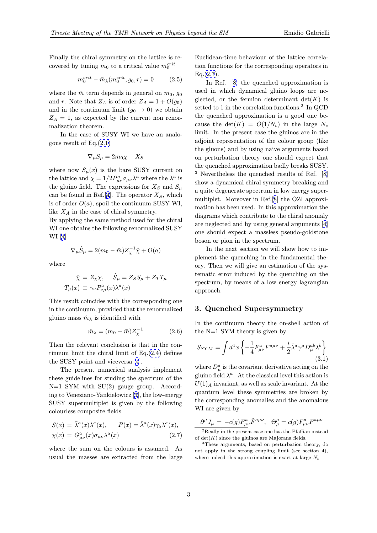<span id="page-2-0"></span>Finally the chiral symmetry on the lattice is recovered by tuning  $m_0$  to a critical value  $m_0^{crit}$ 

$$
m_0^{crit} - \bar{m}_{\lambda}(m_0^{crit}, g_0, r) = 0 \qquad (2.5)
$$

where the  $\bar{m}$  term depends in general on  $m_0$ ,  $g_0$ and r. Note that  $Z_A$  is of order  $Z_A = 1 + O(g_0)$ and in the continuum limit  $(g_0 \rightarrow 0)$  we obtain  $Z_A = 1$ , as expected by the current non renormalization theorem.

In the case of SUSY WI we have an analogous result of  $Eq.(2.1)$ 

$$
\nabla_{\mu}S_{\mu} = 2m_0\chi + X_S
$$

where now  $S_{\mu}(x)$  [is t](#page-1-0)he bare SUSY current on the lattice and  $\chi = 1/2 P^a_{\mu\nu} \sigma_{\mu\nu} \lambda^a$  where the  $\lambda^a$  is the gluino field. The expressions for  $X_S$  and  $S_\mu$ can be found in Ref.[4]. The operator  $X<sub>S</sub>$ , which is of order  $O(a)$ , spoil the continuum SUSY WI, like  $X_A$  in the case of chiral symmetry.

By applying the same method used for the chiral WI one obtains the f[oll](#page-7-0)owing renormalized SUSY WI [4]

$$
\nabla_{\mu}\hat{S}_{\mu} = 2(m_0 - \bar{m})Z_{\chi}^{-1}\hat{\chi} + O(a)
$$

whe[re](#page-7-0)

$$
\hat{\chi} = Z_{\chi}\chi, \quad \hat{S}_{\mu} = Z_{S}S_{\mu} + Z_{T}T_{\mu}
$$

$$
T_{\mu}(x) \equiv \gamma_{\nu}P_{\nu\mu}^{a}(x)\lambda^{a}(x)
$$

This result coincides with the corresponding one in the continuum, provided that the renormalized gluino mass  $\hat{m}_{\lambda}$  is identified with

$$
\hat{m}_{\lambda} = (m_0 - \bar{m})Z_{\chi}^{-1} \tag{2.6}
$$

Then the relevant conclusion is that in the continuum limit the chiral limit of  $Eq.(2.4)$  defines the SUSY point and viceversa [4].

The present numerical analysis implement these guidelines for studing the spectrum of the  $N=1$  SYM with SU(2) gauge grou[p.](#page-1-0) According to Veneziano-Yankielowicz [[3\]](#page-7-0), the low-energy SUSY supermultiplet is given by the following colourless composite fields

$$
S(x) = \bar{\lambda}^{a}(x)\lambda^{a}(x), \qquad P(x) = \bar{\lambda}^{a}(x)\gamma_{5}\lambda^{a}(x),
$$
  

$$
\chi(x) = G^{a}_{\mu\nu}(x)\sigma_{\mu\nu}\lambda^{a}(x) \qquad (2.7)
$$

where the sum on the colours is assumed. As usual the masses are extracted from the large Euclidean-time behaviour of the lattice correlation functions for the corresponding operators in  $Eq.(2.7)$ .

In Ref. [8] the quenched approximation is used in which dynamical gluino loops are neglected, or the fermion determinant  $det(K)$  is setted to 1 in the correlation functions.<sup>2</sup> In QCD the quenched [a](#page-7-0)pproximation is a good one because the  $\det(K) = O(1/N_c)$  in the large  $N_c$ limit. In the present case the gluinos are in the adjoint representation of the colour group (like the gluons) and by using naive arguments based on perturbation theory one should expect that the quenched approximation badly breaks SUSY. <sup>3</sup> Nevertheless the quenched results of Ref. [8] show a dynamical chiral symmetry breaking and a quite degenerate spectrum in low energy supermultiplet. Moreover in Ref.[8] the OZI approximation has been used. In this approximation t[he](#page-7-0) diagrams which contribute to the chiral anomaly are neglected and by using general arguments [4] one should expect a massle[ss](#page-7-0) pseudo-goldstone boson or pion in the spectrum.

In the next section we will show how to implement the quenching in the fundamental t[he](#page-7-0)ory. Then we will give an estimation of the systematic error induced by the quenching on the spectrum, by means of a low energy lagrangian approach.

#### 3. Quenched Supersymmetry

In the continuum theory the on-shell action of the N=1 SYM theory is given by

$$
S_{SYM} = \int d^4x \left\{ -\frac{1}{4} F^a_{\mu\nu} F^{a\mu\nu} + \frac{i}{2} \bar{\lambda}^a \gamma^\mu D^{ab}_\mu \lambda^b \right\} \tag{3.1}
$$

where  $D^a_\mu$  is the covariant derivative acting on the gluino field  $\lambda^a$ . At the classical level this action is  $U(1)$ <sub>A</sub> invariant, as well as scale invariant. At the quantum level these symmetries are broken by the corresponding anomalies and the anomalous WI are given by

$$
\frac{\partial^{\mu} J_{\mu} = -c(g) F^a_{\mu\nu} \tilde{F}^{a\mu\nu}, \ \ \Theta^{\mu}_{\mu} = c(g) F^a_{\mu\nu} F^{a\mu\nu}
$$

<sup>2</sup>Really in the present case one has the Pfaffian instead of  $det(K)$  since the gluinos are Majorana fields.

<sup>3</sup>These arguments, based on perturbation theory, do not apply in the strong coupling limit (see section 4), where indeed this approximation is exact at large  $N_c$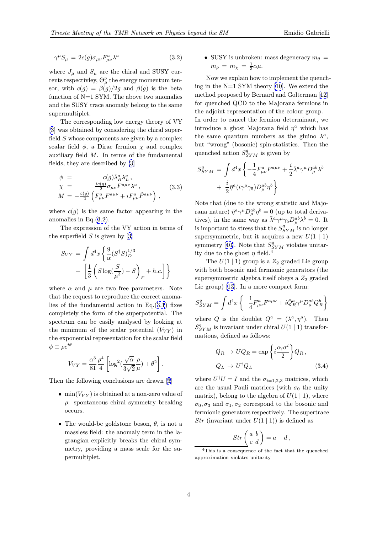<span id="page-3-0"></span>
$$
\gamma^{\mu} S_{\mu} = 2c(g)\sigma_{\mu\nu} F^{a}_{\mu\nu} \lambda^{a} \tag{3.2}
$$

where  $J_{\mu}$  and  $S_{\mu}$  are the chiral and SUSY currents respectivley,  $\Theta_{\mu}^{\nu}$  the energy momentum tensor, with  $c(g) = \beta(g)/2g$  and  $\beta(g)$  is the beta function of N=1 SYM. The above two anomalies and the SUSY trace anomaly belong to the same supermultiplet.

The corresponding low energy theory of VY [3] was obtained by considering the chiral superfield  $S$  whose components are given by a complex scalar field  $\phi$ , a Dirac fermion  $\chi$  and complex auxiliary field M. In terms of the fundamental [fie](#page-7-0)lds, they are described by [3]

$$
\phi = c(g)\bar{\lambda}_R^a \lambda_L^a,
$$
  
\n
$$
\chi = \frac{ic(g)}{2} \sigma_{\mu\nu} F^{a\mu\nu} \lambda^a,
$$
  
\n
$$
M = -\frac{c(g)}{2} \left( F^a_{\mu\nu} F^{a\mu\nu} + i F^a_{\mu\nu} \tilde{F}^{a\mu\nu} \right),
$$
\n(3.3)

where  $c(g)$  is the same factor appearing in the anomalies in Eq.(3.2).

The expression of the VY action in terms of the superfield  $S$  is given by [3]

$$
S_{VY} = \int d^4x \left\{ \frac{9}{\alpha} (S^{\dagger} S)_D^{1/3} + \left[ \frac{1}{3} \left( S \log(\frac{S}{\mu^3}) - S \right)_F + h.c. \right] \right\}
$$

where  $\alpha$  and  $\mu$  are two free parameters. Note that the request to reproduce the correct anomalies of the fundamental action in Eq.(3.1) fixes completely the form of the superpotential. The spectrum can be easily analysed by looking at the minimum of the scalar potential  $(V_{VY})$  in the exponential representation for the s[cala](#page-2-0)r field  $\phi \equiv \rho e^{i\theta}$ 

$$
V_{VY} = \frac{\alpha^3}{81} \frac{\rho^4}{4} \left[ \log^2(\frac{\sqrt{\alpha}}{3\sqrt{2}} \frac{\rho}{\mu}) + \theta^2 \right]
$$

.

Then the following conclusions are drawn [3]

- min( $V_{VY}$ ) is obtained at a non-zero value of  $\rho$ : spontaneous chiral symmetry breaking occurs.
- The would-be goldstone boson,  $\theta$ , is not a massless field: the anomaly term in the lagrangian explicitly breaks the chiral symmetry, providing a mass scale for the supermultiplet.

• SUSY is unbroken: mass degeneracy  $m_{\theta} =$  $m_{\rho} = m_{\chi} = \frac{1}{3}\alpha\mu.$ 

Now we explain how to implement the quenching in the N=1 SYM theory [10]. We extend the method proposed by Bernard and Golterman [12] for quenched QCD to the Majorana fermions in the adjoint representation of the colour group.

In order to cancel the fermi[on](#page-7-0) determinant, we introduce a ghost Majorana field  $\eta^a$  which [has](#page-7-0) the same quantum numbers as the gluino  $\lambda^a$ , but "wrong" (bosonic) spin-statistics. Then the quenched action  $S_{SYM}^q$  is given by

$$
S_{SYM}^q = \int d^4x \left\{ -\frac{1}{4} F_{\mu\nu}^a F^{a\mu\nu} + \frac{i}{2} \bar{\lambda}^a \gamma^\mu D_\mu^{ab} \lambda^b + \frac{i}{2} \bar{\eta}^a (i \gamma^\mu \gamma_5) D_\mu^{ab} \eta^b \right\}
$$

Note that (due to the wrong statistic and Majorana nature)  $\bar{\eta}^a \gamma^\mu D_\mu^{ab} \eta^b = 0$  (up to total derivatives), in the same way as  $\bar{\lambda}^a \gamma^\mu \gamma_5 D_\mu^{ab} \lambda^b = 0$ . It is important to stress that the  $S_{SYM}^q$  is no longer supersymmetric, but it acquires a new  $U(1 | 1)$ symmetry [10]. Note that  $S_{SYM}^q$  violates unitarity due to the ghost  $\eta$  field.<sup>4</sup>

The  $U(1 | 1)$  group is a  $Z_2$  graded Lie group with both bosonic and fermionic generators (the supersym[metr](#page-7-0)ic algebra itself obeys a  $Z_2$  graded Lie group) [13]. In a more compact form:

$$
S_{SYM}^q = \int d^4x \left\{ -\frac{1}{4} F_{\mu\nu}^a F^{a\mu\nu} + i \bar{Q}_R^a \gamma^\mu D_\mu^{ab} Q_R^b \right\}
$$

where Q is [th](#page-7-0)e doublet  $Q^a = (\lambda^a, \eta^a)$ . Then  $S_{SYM}^q$  is invariant under chiral  $U(1 \mid 1)$  transformations, defined as follows:

$$
Q_R \to U Q_R = \exp\left\{i\frac{\alpha_i \sigma^i}{2}\right\} Q_R,
$$
  

$$
Q_L \to U^{\dagger} Q_L
$$
 (3.4)

where  $U^{\dagger}U = I$  and the  $\sigma_{i=1,2,3}$  matrices, which are the usual Pauli matrices (with  $\sigma_0$  the unity matrix), belong to the algebra of  $U(1 | 1)$ , where  $\sigma_0$ ,  $\sigma_3$  and  $\sigma_1$ ,  $\sigma_2$  correspond to the bosonic and fermionic generators respectively. The supertrace Str (invariant under  $U(1 | 1)$ ) is defined as

$$
Str\left(\begin{array}{cc} a & b \\ c & d \end{array}\right) = a - d,
$$

<sup>4</sup>This is a consequence of the fact that the quenched approximation violates unitarity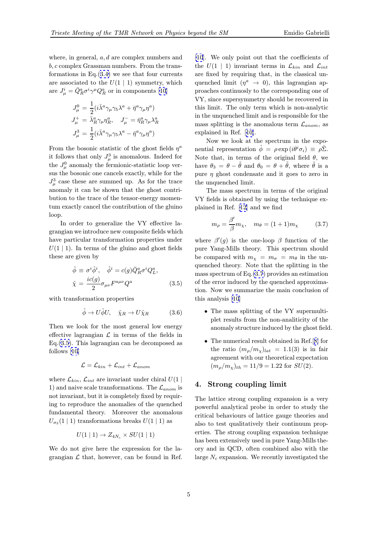where, in general, a, d are complex numbers and b, c complex Grassman numbers. From the transformations in  $Eq.(3.4)$  we see that four currents are associated to the  $U(1 | 1)$  symmetry, which are  $J^i_\mu = \bar{Q}^a_R \sigma^i \gamma^\mu Q^a_R$  or in components [10]

$$
J^0_\mu = \frac{1}{2} (i \bar{\lambda}^a \gamma_\mu \gamma_5 \lambda^a + \bar{\eta}^a \gamma_\mu \eta^a)
$$
  

$$
J^+_\mu = \bar{\lambda}^a_R \gamma_\mu \eta^a_R, \quad J^-_\mu = \bar{\eta}^a_R \gamma_\mu \lambda^a_R
$$
  

$$
J^3_\mu = \frac{1}{2} (i \bar{\lambda}^a \gamma_\mu \gamma_5 \lambda^a - \bar{\eta}^a \gamma_\mu \eta^a)
$$

From the bosonic statistic of the ghost fields  $\eta^a$ it follows that only  $J^3_\mu$  is anomalous. Indeed for the  $J^0_\mu$  anomaly the fermionic-statistic loop versus the bosonic one cancels exactly, while for the  $J^3_\mu$  case these are summed up. As for the trace anomaly it can be shown that the ghost contribution to the trace of the tensor-energy momentum exactly cancel the contribution of the gluino loop.

In order to generalize the VY effective lagrangian we introduce new composite fields which have particular transformation properties under  $U(1 | 1)$ . In terms of the gluino and ghost fields these are given by

$$
\hat{\phi} \equiv \sigma^i \hat{\phi}^i, \quad \hat{\phi}^i = c(g)\bar{Q}_R^a \sigma^i Q_L^a,
$$
  

$$
\hat{\chi} = \frac{ic(g)}{2} \sigma_{\mu\nu} F^{a\mu\nu} Q^a
$$
 (3.5)

with transformation properties

$$
\hat{\phi} \to U \hat{\phi} U, \quad \hat{\chi}_R \to U \hat{\chi}_R \tag{3.6}
$$

Then we look for the most general low energy effective lagrangian  $\mathcal L$  in terms of the fields in Eq.(3.5). This lagrangian can be decomposed as follows [10]

$$
\mathcal{L} = \mathcal{L}_{kin} + \mathcal{L}_{int} + \mathcal{L}_{anom}
$$

where  $\mathcal{L}_{kin}$  $\mathcal{L}_{kin}$  $\mathcal{L}_{kin}$ ,  $\mathcal{L}_{int}$  are invariant under chiral  $U(1 |$ 1) and naive scale transformations. The  $\mathcal{L}_{anom}$  is not invariant, but it is completely fixed by requiring to reproduce the anomalies of the quenched fundamental theory. Moreover the anomalous  $U_{\sigma_3}(1 \mid 1)$  transformations breaks  $U(1 \mid 1)$  as

$$
U(1 \mid 1) \rightarrow Z_{4N_c} \times SU(1 \mid 1)
$$

We do not give here the expression for the lagrangian  $\mathcal L$  that, however, can be found in Ref. [10]. We only point out that the coefficients of the  $U(1 \mid 1)$  invariant terms in  $\mathcal{L}_{kin}$  and  $\mathcal{L}_{int}$ are fixed by requiring that, in the classical unquenched limit  $(\eta^a \rightarrow 0)$ , this lagrangian ap[pro](#page-7-0)aches continuosly to the corresponding one of VY, since supersymmetry should be recovered in this limit. The only term which is non-analytic in the unquenched limit and is responsible for the mass splitting is the anomalous term  $\mathcal{L}_{anom}$ , as explained in Ref. [10].

Now we look at the spectrum in the exponential representation  $\hat{\phi} = \rho \exp(i\theta^i \sigma_i) \equiv \rho \hat{\Sigma}$ . Note that, in terms of the original field  $\theta$ , we have  $\theta_3 = \theta - \tilde{\theta}$  [and](#page-7-0)  $\theta_0 = \theta + \tilde{\theta}$ , where  $\tilde{\theta}$  is a pure  $\eta$  ghost condensate and it goes to zero in the unquenched limit.

The mass spectrum in terms of the original VY fields is obtained by using the technique explained in Ref. [12] and we find

$$
m_{\rho} = \frac{\beta'}{\beta} m_{\chi}, \quad m_{\theta} = (1+1)m_{\chi} \tag{3.7}
$$

where  $\beta'(g)$  is [the](#page-7-0) one-loop  $\beta$  function of the pure Yang-Mills theory. This spectrum should be compared with  $m_{\chi} = m_{\sigma} = m_{\theta}$  in the unquenched theory. Note that the splitting in the mass spectrum of Eq.(3.7) provides an estimation of the error induced by the quenched approximation. Now we summarize the main conclusion of this analysis [10]

- The mass splitting of the VY supermultiplet results from the non-analiticity of the anomal[y st](#page-7-0)ructure induced by the ghost field.
- The numerical result obtained in Ref.[8] for the ratio  $(m_\rho/m_\chi)_{lat} = 1.1(3)$  is in fair agreement with our theoretical expectation  $(m_\rho/m_\chi)_{th} = 11/9 = 1.22$  for  $SU(2)$ .

#### 4. Strong coupling limit

The lattice strong coupling expansion is a very powerful analytical probe in order to study the critical behaviours of lattice gauge theories and also to test qualitatively their continuum properties. The strong coupling expansion technique has been extensively used in pure Yang-Mills theory and in QCD, often combined also with the large  $N_c$  expansion. We recently investigated the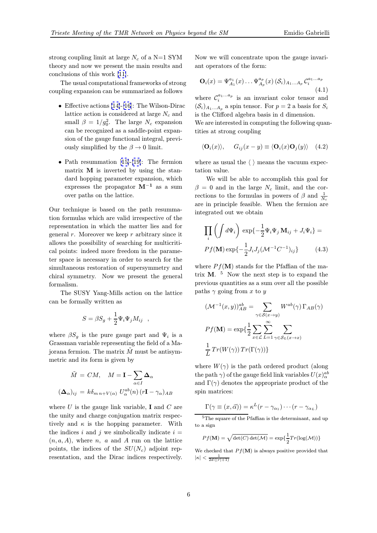strong coupling limit at large  $N_c$  of a N=1 SYM theory and now we present the main results and conclusions of this work [11].

The usual computational frameworks of strong coupling expansion can be summarized as follows

- Effective actions [1[4\]-\[1](#page-7-0)6]: The Wilson-Dirac lattice action is considered at large  $N_c$  and small  $\beta = 1/g_0^2$ . The large  $N_c$  expansion can be recognized as a saddle-point expansion of the gauge [functio](#page-7-0)nal integral, previously simplified by the  $\beta \rightarrow 0$  limit.
- Path resummation [15]-[19]: The fermion matrix M is inverted by using the standard hopping parameter expansion, which expresses the propagator  $M^{-1}$  as a sum over paths on the la[ttic](#page-7-0)e[.](#page-7-0)

Our technique is based on the path resummation formulas which are valid irrespective of the representation in which the matter lies and for general  $r$ . Moreover we keep  $r$  arbitrary since it allows the possibility of searching for multicritical points: indeed more freedom in the parameter space is necessary in order to search for the simultaneous restoration of supersymmetry and chiral symmetry. Now we present the general formalism.

The SUSY Yang-Mills action on the lattice can be formally written as

$$
S = \beta S_g + \frac{1}{2} \Psi_i \Psi_j M_{ij} \quad ,
$$

where  $\beta S_q$  is the pure gauge part and  $\Psi_i$  is a Grassman variable representing the field of a Majorana fermion. The matrix  $\tilde{M}$  must be antisymmetric and its form is given by

$$
\tilde{M} = CM, \quad M = \mathbf{I} - \sum_{\alpha \in I} \Delta_{\alpha}
$$

$$
(\Delta_{\alpha})_{ij} = k\delta_{mn+V(\alpha)} U_{\alpha}^{ab}(n) (r\mathbf{I} - \gamma_{\alpha})_{AB}
$$

where  $U$  is the gauge link variable, **I** and  $C$  are the unity and charge conjugation matrix respectively and  $\kappa$  is the hopping parameter. With the indices i and j we simbolically indicate  $i =$  $(n, a, A)$ , where n, a and A run on the lattice points, the indices of the  $SU(N_c)$  adjoint representation, and the Dirac indices respectively. Now we will concentrate upon the gauge invariant operators of the form:

$$
\mathbf{O}_{i}(x) = \Psi_{A_{1}}^{a_{1}}(x) \dots \Psi_{A_{p}}^{a_{p}}(x) \left( \mathcal{S}_{i} \right)_{A_{1} \dots A_{p}} \mathcal{C}_{i}^{a_{1} \dots a_{p}}
$$
\n(4.1)

where  $\mathcal{C}_i^{a_1...a_p}$  is an invariant color tensor and  $(\mathcal{S}_i)_{A_1...A_p}$  a spin tensor. For  $p=2$  a basis for  $S_i$ is the Clifford algebra basis in d dimension.

We are interested in computing the following quantities at strong coupling

$$
\langle \mathbf{O}_i(x) \rangle, \quad G_{ij}(x-y) \equiv \langle \mathbf{O}_i(x) \mathbf{O}_j(y) \rangle \quad (4.2)
$$

where as usual the  $\langle \rangle$  means the vacuum expectation value.

We will be able to accomplish this goal for  $\beta = 0$  and in the large  $N_c$  limit, and the corrections to the formulas in powers of  $\beta$  and  $\frac{1}{N_c}$ are in principle feasible. When the fermion are integrated out we obtain

$$
\prod_{i} \left( \int d\Psi_i \right) \exp\left\{-\frac{1}{2} \Psi_i \Psi_j \mathbf{M}_{ij} + J_i \Psi_i \right\} =
$$
  

$$
Pf(\mathbf{M}) \exp\left\{-\frac{1}{2} J_i J_j (\mathcal{M}^{-1} C^{-1})_{ij} \right\} \tag{4.3}
$$

where  $P f(\mathbf{M})$  stands for the Pfaffian of the matrix  $\mathbf{M}$ .<sup>5</sup> Now the next step is to expand the previous quantities as a sum over all the possible paths  $\gamma$  going from x to y

$$
(\mathcal{M}^{-1}(x, y))_{AB}^{ab} = \sum_{\gamma \in \mathcal{S}(x \to y)} W^{ab}(\gamma) \Gamma_{AB}(\gamma)
$$

$$
Pf(\mathbf{M}) = \exp\left\{\frac{1}{2} \sum_{x \in \mathcal{L}} \sum_{L=1}^{\infty} \sum_{\gamma \in \mathcal{S}_L(x \to x)} \frac{1}{L} Tr(W(\gamma)) Tr(\Gamma(\gamma))\right\}
$$

where  $W(\gamma)$  is the path ordered product (along the path  $\gamma)$  of the gauge field link variables  $U(x)_{\alpha}^{ab}$ and  $\Gamma(\gamma)$  denotes the appropriate product of the spin matrices:

$$
\Gamma(\gamma \equiv (x,\vec{\alpha})) = \kappa^L(r - \gamma_{\alpha_1}) \cdots (r - \gamma_{\alpha_L})
$$

 $5$ The square of the Pfaffian is the determinant, and up to a sign

$$
Pf(\mathbf{M}) = \sqrt{\det(C)\det(\mathcal{M})} = \exp\{\frac{1}{2}Tr(\log(\mathcal{M}))\}
$$

We checked that  $P f(\mathbf{M})$  is always positive provided that  $|\kappa| < \frac{1}{2d(|r|+1)}$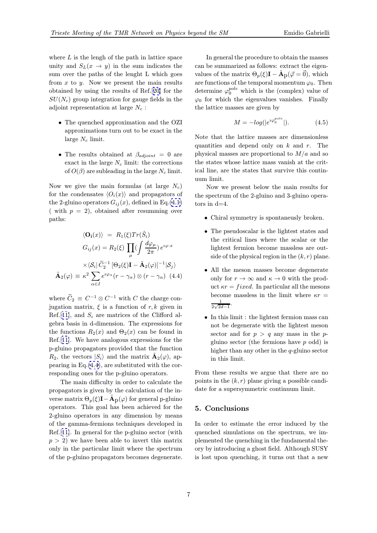where  $L$  is the lengh of the path in lattice space unity and  $S_L(x \to y)$  in the sum indicates the sum over the paths of the lenght L which goes from  $x$  to  $y$ . Now we present the main results obtained by using the results of Ref.[20] for the  $SU(N_c)$  group integration for gauge fields in the adjoint representation at large  $N_c$ :

- The quenched approximation a[nd](#page-7-0) the OZI approximations turn out to be exact in the large  $N_c$  limit.
- The results obtained at  $\beta_{adjoint} = 0$  are exact in the large  $N_c$  limit: the corrections of  $O(\beta)$  are subleading in the large  $N_c$  limit.

Now we give the main formulas (at large  $N_c$ ) for the condensates  $\langle O_i(x) \rangle$  and propagators of the 2-gluino operators  $G_{ij}(x)$ , defined in Eq.(4.1) ( with  $p = 2$ ), obtained after resumming over paths:

$$
\langle \mathbf{O}_{\mathbf{i}}(x) \rangle = R_1(\xi) Tr(\hat{S}_i)
$$

$$
G_{ij}(x) = R_2(\xi) \prod_{\mu} (\int \frac{d\varphi_{\mu}}{2\pi}) e^{i\varphi \cdot x}
$$

$$
\times \langle S_i | \tilde{C}_2^{-1} [\Theta_2(\xi) \mathbf{I} - \tilde{\mathbf{A}}_2(\varphi)]^{-1} |S_j \rangle
$$

$$
\tilde{\mathbf{A}}_2(\varphi) \equiv \kappa^2 \sum_{\alpha \in I} e^{i\varphi_\alpha} (r - \gamma_\alpha) \otimes (r - \gamma_\alpha) \quad (4.4)
$$

where  $\widetilde{C}_2 \equiv C^{-1} \otimes C^{-1}$  with C the charge conjugation matrix,  $\xi$  is a function of r, k given in Ref. [11], and  $S_i$  are matrices of the Clifford algebra basis in d-dimension. The expressions for the functions  $R_2(x)$  and  $\Theta_2(x)$  can be found in Ref.[11]. We have analogous expressions for the p-gl[uino](#page-7-0) propagators provided that the function  $R_2$ , the vectors  $|S_i\rangle$  and the matrix  $\mathbf{A}_2(\varphi)$ , appearing in Eq.(4.4), are substituted with the corresp[ond](#page-7-0)ing ones for the p-gluino operators.

The main difficulty in order to calculate the propagators is given by the calculation of the inverse matrix  $\Theta_p(\xi) \mathbf{I} - \mathbf{A_p}(\varphi)$  for general p-gluino operators. This goal has been achieved for the 2-gluino operators in any dimension by means of the gamma-fermions techniques developed in Ref.[11]. In general for the p-gluino sector (with  $p > 2$ ) we have been able to invert this matrix only in the particular limit where the spectrum of th[e](#page-7-0) [p](#page-7-0)-gluino propagators becomes degenerate.

In general the procedure to obtain the masses can be summarized as follows: extract the eigenvalues of the matrix  $\Theta_p(\xi) \mathbf{I} - \mathbf{A}_p(\vec{\varphi} = \vec{0})$ , which are functions of the temporal momentum  $\varphi_0$ . Then determine  $\varphi_0^{pole}$  which is the (complex) value of  $\varphi_0$  for which the eigenvalues vanishes. Finally the lattice masses are given by

$$
M = -log(|e^{i\varphi_0^{pole}}|). \tag{4.5}
$$

Note that the lattice masses are dimensionless quantities and depend only on  $k$  and  $r$ . The physical masses are proportional to  $M/a$  and so the states whose lattice mass vanish at the critical line, are the states that survive this continuum limit.

Now we present below the main results for the spectrum of the 2-gluino and 3-gluino operators in d=4.

- Chiral symmetry is spontaneusly broken.
- The pseudoscalar is the lightest states and the critical lines where the scalar or the lightest fermion become massless are outside of the physical region in the  $(k, r)$  plane.
- All the meson masses become degenerate only for  $r \to \infty$  and  $\kappa \to 0$  with the product  $\kappa r = fixed$ . In particular all the mesons become massless in the limit where  $\kappa r =$ 1  $rac{1}{2\sqrt{2d-1}}$ .
- In this limit : the lightest fermion mass can not be degenerate with the lightest meson sector and for  $p > q$  any mass in the pgluino sector (the fermions have p odd) is higher than any other in the q-gluino sector in this limit.

From these results we argue that there are no points in the  $(k, r)$  plane giving a possible candidate for a supersymmetric continuum limit.

## 5. Conclusions

In order to estimate the error induced by the quenched simulations on the spectrum, we implemented the quenching in the fundamental theory by introducing a ghost field. Although SUSY is lost upon quenching, it turns out that a new